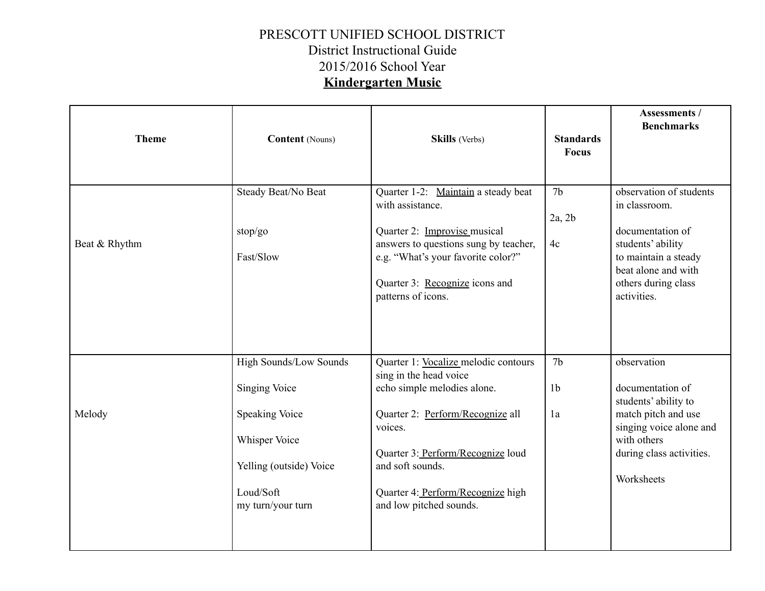## PRESCOTT UNIFIED SCHOOL DISTRICT District Instructional Guide 2015/2016 School Year **Kindergarten Music**

| <b>Theme</b>  | <b>Content</b> (Nouns)                                                                                                                                | <b>Skills</b> (Verbs)                                                                                                                                                                                                                                                 | <b>Standards</b><br><b>Focus</b>       | Assessments /<br><b>Benchmarks</b>                                                                                                                                     |
|---------------|-------------------------------------------------------------------------------------------------------------------------------------------------------|-----------------------------------------------------------------------------------------------------------------------------------------------------------------------------------------------------------------------------------------------------------------------|----------------------------------------|------------------------------------------------------------------------------------------------------------------------------------------------------------------------|
| Beat & Rhythm | Steady Beat/No Beat<br>stop/go<br>Fast/Slow                                                                                                           | Quarter 1-2: Maintain a steady beat<br>with assistance.<br>Quarter 2: Improvise musical<br>answers to questions sung by teacher,<br>e.g. "What's your favorite color?"<br>Quarter 3: Recognize icons and<br>patterns of icons.                                        | 7 <sub>b</sub><br>2a, 2b<br>4c         | observation of students<br>in classroom.<br>documentation of<br>students' ability<br>to maintain a steady<br>beat alone and with<br>others during class<br>activities. |
| Melody        | High Sounds/Low Sounds<br><b>Singing Voice</b><br><b>Speaking Voice</b><br>Whisper Voice<br>Yelling (outside) Voice<br>Loud/Soft<br>my turn/your turn | Quarter 1: Vocalize melodic contours<br>sing in the head voice<br>echo simple melodies alone.<br>Quarter 2: Perform/Recognize all<br>voices.<br>Quarter 3: Perform/Recognize loud<br>and soft sounds.<br>Quarter 4: Perform/Recognize high<br>and low pitched sounds. | 7 <sub>b</sub><br>1 <sub>b</sub><br>1a | observation<br>documentation of<br>students' ability to<br>match pitch and use<br>singing voice alone and<br>with others<br>during class activities.<br>Worksheets     |